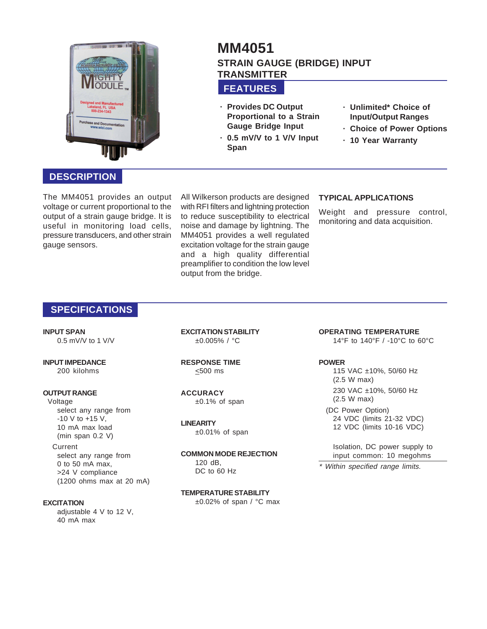

# **MM4051 STRAIN GAUGE (BRIDGE) INPUT TRANSMITTER**

## **FEATURES**

- **· Provides DC Output Proportional to a Strain Gauge Bridge Input**
- **· 0.5 mV/V to 1 V/V Input Span**
- **· Unlimited\* Choice of Input/Output Ranges**
- **· Choice of Power Options**
- **· 10 Year Warranty**

## **DESCRIPTION**

The MM4051 provides an output voltage or current proportional to the output of a strain gauge bridge. It is useful in monitoring load cells, pressure transducers, and other strain gauge sensors.

All Wilkerson products are designed with RFI filters and lightning protection to reduce susceptibility to electrical noise and damage by lightning. The MM4051 provides a well regulated excitation voltage for the strain gauge and a high quality differential preamplifier to condition the low level output from the bridge.

#### **TYPICAL APPLICATIONS**

Weight and pressure control, monitoring and data acquisition.

## **SPECIFICATIONS**

**INPUT SPAN** 0.5 mV/V to 1 V/V

#### **INPUT IMPEDANCE** 200 kilohms

### **OUTPUT RANGE**

Voltage select any range from  $-10$  V to  $+15$  V, 10 mA max load (min span 0.2 V) **Current** select any range from

#### 0 to 50 mA max, >24 V compliance (1200 ohms max at 20 mA)

#### **EXCITATION**

adjustable 4 V to 12 V, 40 mA max

**EXCITATION STABILITY** ±0.005% / °C

**RESPONSE TIME** <500 ms

**ACCURACY** ±0.1% of span

#### **LINEARITY**

±0.01% of span

**COMMON MODE REJECTION** 120 dB, DC to 60 Hz

# **TEMPERATURE STABILITY**

±0.02% of span / °C max

**OPERATING TEMPERATURE** 14°F to 140°F / -10°C to 60°C

#### **POWER**

115 VAC ±10%, 50/60 Hz (2.5 W max) 230 VAC ±10%, 50/60 Hz (2.5 W max)

(DC Power Option) 24 VDC (limits 21-32 VDC) 12 VDC (limits 10-16 VDC)

Isolation, DC power supply to input common: 10 megohms

\* Within specified range limits.